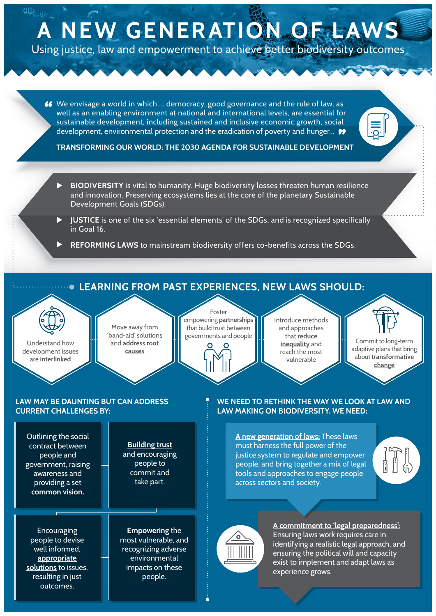